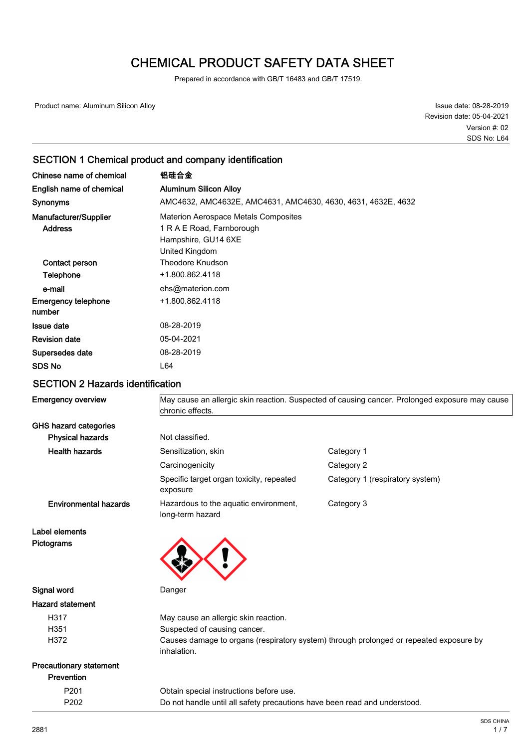# CHEMICAL PRODUCT SAFETY DATA SHEET

Prepared in accordance with GB/T 16483 and GB/T 17519.

Product name: Aluminum Silicon Alloy

Issue date: 08-28-2019 Revision date: 05-04-2021 SDS No: L64 Version #: 02

### SECTION 1 Chemical product and company identification

| Chinese name of chemical                | 铝硅合金                                                                                                              |
|-----------------------------------------|-------------------------------------------------------------------------------------------------------------------|
| English name of chemical                | <b>Aluminum Silicon Alloy</b>                                                                                     |
| <b>Synonyms</b>                         | AMC4632, AMC4632E, AMC4631, AMC4630, 4630, 4631, 4632E, 4632                                                      |
| Manufacturer/Supplier<br><b>Address</b> | <b>Materion Aerospace Metals Composites</b><br>1 R A E Road, Farnborough<br>Hampshire, GU14 6XE<br>United Kingdom |
| Contact person                          | <b>Theodore Knudson</b>                                                                                           |
| Telephone                               | +1.800.862.4118                                                                                                   |
| e-mail                                  | ehs@materion.com                                                                                                  |
| <b>Emergency telephone</b><br>number    | +1.800.862.4118                                                                                                   |
| <b>Issue date</b>                       | 08-28-2019                                                                                                        |
| <b>Revision date</b>                    | 05-04-2021                                                                                                        |
| Supersedes date                         | 08-28-2019                                                                                                        |
| <b>SDS No</b>                           | L64                                                                                                               |

### SECTION 2 Hazards identification

| <b>Emergency overview</b>      | May cause an allergic skin reaction. Suspected of causing cancer. Prolonged exposure may cause<br>chronic effects. |                                                                                        |
|--------------------------------|--------------------------------------------------------------------------------------------------------------------|----------------------------------------------------------------------------------------|
| <b>GHS hazard categories</b>   |                                                                                                                    |                                                                                        |
| <b>Physical hazards</b>        | Not classified.                                                                                                    |                                                                                        |
| <b>Health hazards</b>          | Sensitization, skin                                                                                                | Category 1                                                                             |
|                                | Carcinogenicity                                                                                                    | Category 2                                                                             |
|                                | Specific target organ toxicity, repeated<br>exposure                                                               | Category 1 (respiratory system)                                                        |
| <b>Environmental hazards</b>   | Hazardous to the aquatic environment,<br>long-term hazard                                                          | Category 3                                                                             |
| Label elements                 |                                                                                                                    |                                                                                        |
| Pictograms                     |                                                                                                                    |                                                                                        |
| Signal word                    | Danger                                                                                                             |                                                                                        |
| <b>Hazard statement</b>        |                                                                                                                    |                                                                                        |
| H317                           | May cause an allergic skin reaction.                                                                               |                                                                                        |
| H351                           | Suspected of causing cancer.                                                                                       |                                                                                        |
| H372                           | inhalation.                                                                                                        | Causes damage to organs (respiratory system) through prolonged or repeated exposure by |
| <b>Precautionary statement</b> |                                                                                                                    |                                                                                        |
| <b>Prevention</b>              |                                                                                                                    |                                                                                        |
| P <sub>201</sub>               | Obtain special instructions before use.                                                                            |                                                                                        |
| P202                           | Do not handle until all safety precautions have been read and understood.                                          |                                                                                        |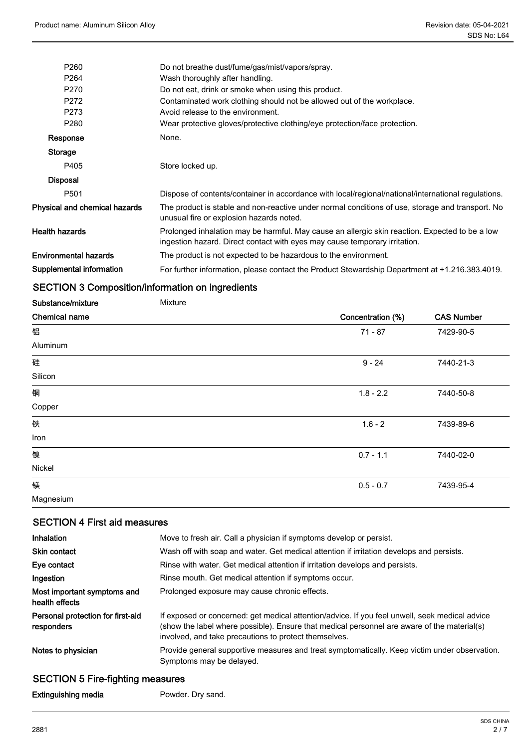| P <sub>260</sub>              | Do not breathe dust/fume/gas/mist/vapors/spray.                                                                                                                              |
|-------------------------------|------------------------------------------------------------------------------------------------------------------------------------------------------------------------------|
| P <sub>264</sub>              | Wash thoroughly after handling.                                                                                                                                              |
| P <sub>270</sub>              | Do not eat, drink or smoke when using this product.                                                                                                                          |
| P272                          | Contaminated work clothing should not be allowed out of the workplace.                                                                                                       |
| P273                          | Avoid release to the environment.                                                                                                                                            |
| P280                          | Wear protective gloves/protective clothing/eye protection/face protection.                                                                                                   |
| Response                      | None.                                                                                                                                                                        |
| <b>Storage</b>                |                                                                                                                                                                              |
| P405                          | Store locked up.                                                                                                                                                             |
| <b>Disposal</b>               |                                                                                                                                                                              |
| P <sub>501</sub>              | Dispose of contents/container in accordance with local/regional/national/international regulations.                                                                          |
| Physical and chemical hazards | The product is stable and non-reactive under normal conditions of use, storage and transport. No<br>unusual fire or explosion hazards noted.                                 |
| Health hazards                | Prolonged inhalation may be harmful. May cause an allergic skin reaction. Expected to be a low<br>ingestion hazard. Direct contact with eyes may cause temporary irritation. |
| Environmental hazards         | The product is not expected to be hazardous to the environment.                                                                                                              |
| Supplemental information      | For further information, please contact the Product Stewardship Department at +1.216.383.4019.                                                                               |

### SECTION 3 Composition/information on ingredients

| Substance/mixture    | Mixture |                   |                   |
|----------------------|---------|-------------------|-------------------|
| <b>Chemical name</b> |         | Concentration (%) | <b>CAS Number</b> |
| 铝                    |         | $71 - 87$         | 7429-90-5         |
| Aluminum             |         |                   |                   |
| 硅                    |         | $9 - 24$          | 7440-21-3         |
| Silicon              |         |                   |                   |
| 铜                    |         | $1.8 - 2.2$       | 7440-50-8         |
| Copper               |         |                   |                   |
| 铁                    |         | $1.6 - 2$         | 7439-89-6         |
| Iron                 |         |                   |                   |
| 镍                    |         | $0.7 - 1.1$       | 7440-02-0         |
| Nickel               |         |                   |                   |
| 镁                    |         | $0.5 - 0.7$       | 7439-95-4         |
| Magnesium            |         |                   |                   |

### SECTION 4 First aid measures

| Inhalation                                      | Move to fresh air. Call a physician if symptoms develop or persist.                                                                                                                                                                                    |  |
|-------------------------------------------------|--------------------------------------------------------------------------------------------------------------------------------------------------------------------------------------------------------------------------------------------------------|--|
| <b>Skin contact</b>                             | Wash off with soap and water. Get medical attention if irritation develops and persists.                                                                                                                                                               |  |
| Eye contact                                     | Rinse with water. Get medical attention if irritation develops and persists.                                                                                                                                                                           |  |
| Ingestion                                       | Rinse mouth. Get medical attention if symptoms occur.                                                                                                                                                                                                  |  |
| Most important symptoms and<br>health effects   | Prolonged exposure may cause chronic effects.                                                                                                                                                                                                          |  |
| Personal protection for first-aid<br>responders | If exposed or concerned: get medical attention/advice. If you feel unwell, seek medical advice<br>(show the label where possible). Ensure that medical personnel are aware of the material(s)<br>involved, and take precautions to protect themselves. |  |
| Notes to physician                              | Provide general supportive measures and treat symptomatically. Keep victim under observation.<br>Symptoms may be delayed.                                                                                                                              |  |

## SECTION 5 Fire-fighting measures

Extinguishing media **Powder.** Dry sand.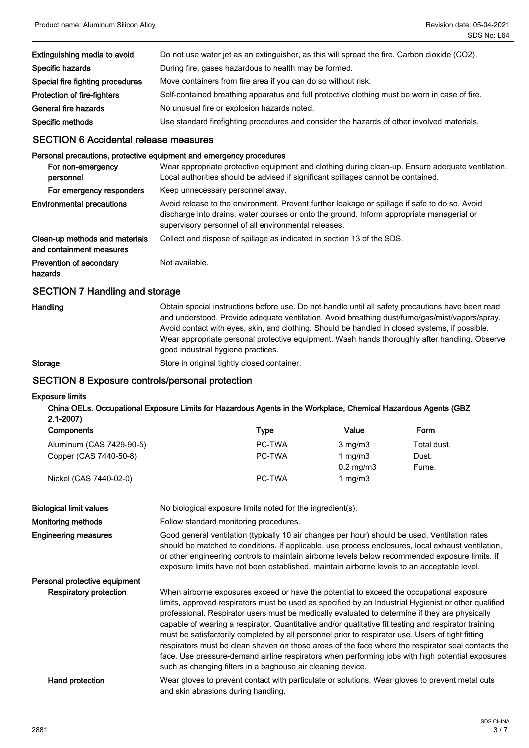| Extinguishing media to avoid     | Do not use water jet as an extinguisher, as this will spread the fire. Carbon dioxide (CO2).  |  |
|----------------------------------|-----------------------------------------------------------------------------------------------|--|
| Specific hazards                 | During fire, gases hazardous to health may be formed.                                         |  |
| Special fire fighting procedures | Move containers from fire area if you can do so without risk.                                 |  |
| Protection of fire-fighters      | Self-contained breathing apparatus and full protective clothing must be worn in case of fire. |  |
| General fire hazards             | No unusual fire or explosion hazards noted.                                                   |  |
| Specific methods                 | Use standard firefighting procedures and consider the hazards of other involved materials.    |  |
|                                  |                                                                                               |  |

### SECTION 6 Accidental release measures

#### Personal precautions, protective equipment and emergency procedures

| For non-emergency<br>personnel                             | Wear appropriate protective equipment and clothing during clean-up. Ensure adequate ventilation.<br>Local authorities should be advised if significant spillages cannot be contained.                                                              |
|------------------------------------------------------------|----------------------------------------------------------------------------------------------------------------------------------------------------------------------------------------------------------------------------------------------------|
| For emergency responders                                   | Keep unnecessary personnel away.                                                                                                                                                                                                                   |
| <b>Environmental precautions</b>                           | Avoid release to the environment. Prevent further leakage or spillage if safe to do so. Avoid<br>discharge into drains, water courses or onto the ground. Inform appropriate managerial or<br>supervisory personnel of all environmental releases. |
| Clean-up methods and materials<br>and containment measures | Collect and dispose of spillage as indicated in section 13 of the SDS.                                                                                                                                                                             |
| Prevention of secondary<br>hazards                         | Not available.                                                                                                                                                                                                                                     |
| <b>SECTION 7 Handling and storage</b>                      |                                                                                                                                                                                                                                                    |

**Handling** 

Obtain special instructions before use. Do not handle until all safety precautions have been read and understood. Provide adequate ventilation. Avoid breathing dust/fume/gas/mist/vapors/spray. Avoid contact with eyes, skin, and clothing. Should be handled in closed systems, if possible. Wear appropriate personal protective equipment. Wash hands thoroughly after handling. Observe good industrial hygiene practices.

Storage Store in original tightly closed container.

### SECTION 8 Exposure controls/personal protection

#### Exposure limits

China OELs. Occupational Exposure Limits for Hazardous Agents in the Workplace, Chemical Hazardous Agents (GBZ 2.1-2007)

| <b>Components</b>        | Type   | Value              | <b>Form</b> |  |
|--------------------------|--------|--------------------|-------------|--|
| Aluminum (CAS 7429-90-5) | PC-TWA | $3 \text{ mg/m}$   | Total dust. |  |
| Copper (CAS 7440-50-8)   | PC-TWA | 1 ma/m3            | Dust.       |  |
|                          |        | $0.2 \text{ mg/m}$ | Fume.       |  |
| Nickel (CAS 7440-02-0)   | PC-TWA | mg/m3              |             |  |

| <b>Biological limit values</b> | No biological exposure limits noted for the ingredient(s).                                                                                                                                                                                                                                                                                                                                                                                                                                                                                                                                                                                                                                                                                                                               |
|--------------------------------|------------------------------------------------------------------------------------------------------------------------------------------------------------------------------------------------------------------------------------------------------------------------------------------------------------------------------------------------------------------------------------------------------------------------------------------------------------------------------------------------------------------------------------------------------------------------------------------------------------------------------------------------------------------------------------------------------------------------------------------------------------------------------------------|
| <b>Monitoring methods</b>      | Follow standard monitoring procedures.                                                                                                                                                                                                                                                                                                                                                                                                                                                                                                                                                                                                                                                                                                                                                   |
| <b>Engineering measures</b>    | Good general ventilation (typically 10 air changes per hour) should be used. Ventilation rates<br>should be matched to conditions. If applicable, use process enclosures, local exhaust ventilation,<br>or other engineering controls to maintain airborne levels below recommended exposure limits. If<br>exposure limits have not been established, maintain airborne levels to an acceptable level.                                                                                                                                                                                                                                                                                                                                                                                   |
| Personal protective equipment  |                                                                                                                                                                                                                                                                                                                                                                                                                                                                                                                                                                                                                                                                                                                                                                                          |
| <b>Respiratory protection</b>  | When airborne exposures exceed or have the potential to exceed the occupational exposure<br>limits, approved respirators must be used as specified by an Industrial Hygienist or other qualified<br>professional. Respirator users must be medically evaluated to determine if they are physically<br>capable of wearing a respirator. Quantitative and/or qualitative fit testing and respirator training<br>must be satisfactorily completed by all personnel prior to respirator use. Users of tight fitting<br>respirators must be clean shaven on those areas of the face where the respirator seal contacts the<br>face. Use pressure-demand airline respirators when performing jobs with high potential exposures<br>such as changing filters in a baghouse air cleaning device. |
| Hand protection                | Wear gloves to prevent contact with particulate or solutions. Wear gloves to prevent metal cuts<br>and skin abrasions during handling.                                                                                                                                                                                                                                                                                                                                                                                                                                                                                                                                                                                                                                                   |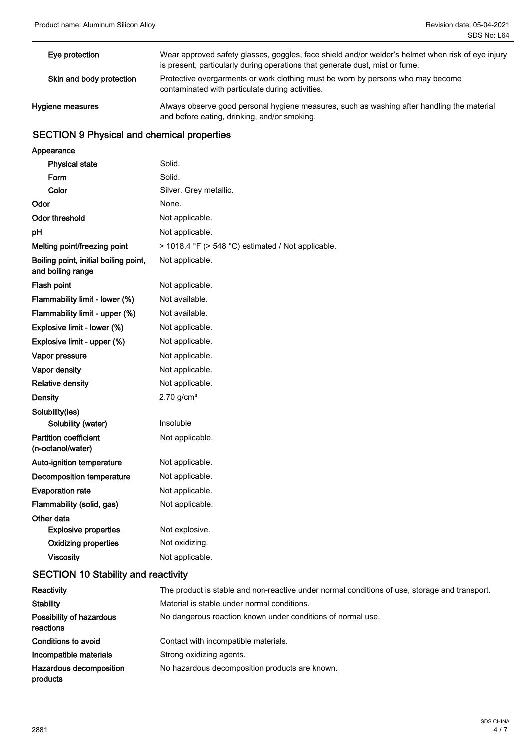| Eye protection           | Wear approved safety glasses, goggles, face shield and/or welder's helmet when risk of eye injury<br>is present, particularly during operations that generate dust, mist or fume. |
|--------------------------|-----------------------------------------------------------------------------------------------------------------------------------------------------------------------------------|
| Skin and body protection | Protective overgarments or work clothing must be worn by persons who may become<br>contaminated with particulate during activities.                                               |
| Hygiene measures         | Always observe good personal hygiene measures, such as washing after handling the material<br>and before eating, drinking, and/or smoking.                                        |

### SECTION 9 Physical and chemical properties

| Appearance                                                 |                                                    |
|------------------------------------------------------------|----------------------------------------------------|
| <b>Physical state</b>                                      | Solid.                                             |
| Form                                                       | Solid.                                             |
| Color                                                      | Silver. Grey metallic.                             |
| Odor                                                       | None.                                              |
| <b>Odor threshold</b>                                      | Not applicable.                                    |
| рH                                                         | Not applicable.                                    |
| Melting point/freezing point                               | > 1018.4 °F (> 548 °C) estimated / Not applicable. |
| Boiling point, initial boiling point,<br>and boiling range | Not applicable.                                    |
| Flash point                                                | Not applicable.                                    |
| Flammability limit - lower (%)                             | Not available.                                     |
| Flammability limit - upper (%)                             | Not available.                                     |
| Explosive limit - lower (%)                                | Not applicable.                                    |
| Explosive limit - upper (%)                                | Not applicable.                                    |
| Vapor pressure                                             | Not applicable.                                    |
| Vapor density                                              | Not applicable.                                    |
| <b>Relative density</b>                                    | Not applicable.                                    |
| <b>Density</b>                                             | $2.70$ g/cm <sup>3</sup>                           |
| Solubility(ies)                                            |                                                    |
| Solubility (water)                                         | Insoluble                                          |
| <b>Partition coefficient</b><br>(n-octanol/water)          | Not applicable.                                    |
| Auto-ignition temperature                                  | Not applicable.                                    |
| <b>Decomposition temperature</b>                           | Not applicable.                                    |
| <b>Evaporation rate</b>                                    | Not applicable.                                    |
| Flammability (solid, gas)                                  | Not applicable.                                    |
| Other data                                                 |                                                    |
| <b>Explosive properties</b>                                | Not explosive.                                     |
| <b>Oxidizing properties</b>                                | Not oxidizing.                                     |
| <b>Viscosity</b>                                           | Not applicable.                                    |

### SECTION 10 Stability and reactivity

| Reactivity                                 | The product is stable and non-reactive under normal conditions of use, storage and transport. |  |
|--------------------------------------------|-----------------------------------------------------------------------------------------------|--|
| <b>Stability</b>                           | Material is stable under normal conditions.                                                   |  |
| Possibility of hazardous<br>reactions      | No dangerous reaction known under conditions of normal use.                                   |  |
| Conditions to avoid                        | Contact with incompatible materials.                                                          |  |
| Incompatible materials                     | Strong oxidizing agents.                                                                      |  |
| <b>Hazardous decomposition</b><br>products | No hazardous decomposition products are known.                                                |  |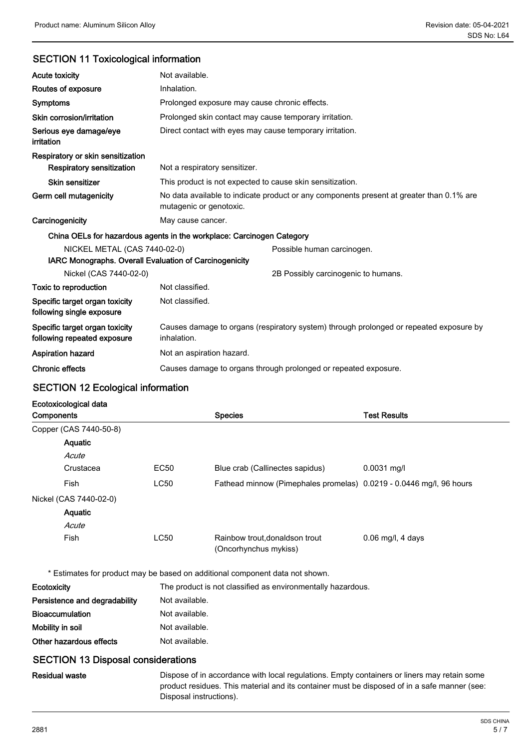### SECTION 11 Toxicological information

| <b>Acute toxicity</b>                                                 | Not available.                                                                                                      |                                     |  |  |
|-----------------------------------------------------------------------|---------------------------------------------------------------------------------------------------------------------|-------------------------------------|--|--|
| Routes of exposure                                                    | Inhalation.                                                                                                         |                                     |  |  |
| <b>Symptoms</b>                                                       | Prolonged exposure may cause chronic effects.                                                                       |                                     |  |  |
| Skin corrosion/irritation                                             | Prolonged skin contact may cause temporary irritation.                                                              |                                     |  |  |
| Serious eye damage/eye<br>irritation                                  | Direct contact with eyes may cause temporary irritation.                                                            |                                     |  |  |
| Respiratory or skin sensitization                                     |                                                                                                                     |                                     |  |  |
| <b>Respiratory sensitization</b>                                      | Not a respiratory sensitizer.                                                                                       |                                     |  |  |
| Skin sensitizer                                                       | This product is not expected to cause skin sensitization.                                                           |                                     |  |  |
| Germ cell mutagenicity                                                | No data available to indicate product or any components present at greater than 0.1% are<br>mutagenic or genotoxic. |                                     |  |  |
| Carcinogenicity                                                       | May cause cancer.                                                                                                   |                                     |  |  |
| China OELs for hazardous agents in the workplace: Carcinogen Category |                                                                                                                     |                                     |  |  |
| NICKEL METAL (CAS 7440-02-0)                                          |                                                                                                                     | Possible human carcinogen.          |  |  |
| IARC Monographs. Overall Evaluation of Carcinogenicity                |                                                                                                                     |                                     |  |  |
| Nickel (CAS 7440-02-0)                                                |                                                                                                                     | 2B Possibly carcinogenic to humans. |  |  |
| Toxic to reproduction                                                 | Not classified.                                                                                                     |                                     |  |  |
| Specific target organ toxicity<br>following single exposure           | Not classified.                                                                                                     |                                     |  |  |
| Specific target organ toxicity<br>following repeated exposure         | Causes damage to organs (respiratory system) through prolonged or repeated exposure by<br>inhalation.               |                                     |  |  |
| <b>Aspiration hazard</b>                                              | Not an aspiration hazard.                                                                                           |                                     |  |  |
| <b>Chronic effects</b>                                                | Causes damage to organs through prolonged or repeated exposure.                                                     |                                     |  |  |

## SECTION 12 Ecological information

### Ecotoxicological data

| <b>Components</b>      |                        |             | <b>Species</b>                                                      | <b>Test Results</b> |
|------------------------|------------------------|-------------|---------------------------------------------------------------------|---------------------|
|                        | Copper (CAS 7440-50-8) |             |                                                                     |                     |
|                        | <b>Aquatic</b>         |             |                                                                     |                     |
|                        | Acute                  |             |                                                                     |                     |
|                        | Crustacea              | EC50        | Blue crab (Callinectes sapidus)                                     | $0.0031$ mg/l       |
|                        | Fish                   | <b>LC50</b> | Fathead minnow (Pimephales promelas) 0.0219 - 0.0446 mg/l, 96 hours |                     |
| Nickel (CAS 7440-02-0) |                        |             |                                                                     |                     |
|                        | Aquatic                |             |                                                                     |                     |
|                        | Acute                  |             |                                                                     |                     |
|                        | Fish                   | <b>LC50</b> | Rainbow trout, donaldson trout<br>(Oncorhynchus mykiss)             | $0.06$ mg/l, 4 days |

\* Estimates for product may be based on additional component data not shown.

| <b>Ecotoxicity</b>                        | The product is not classified as environmentally hazardous.                                 |  |  |
|-------------------------------------------|---------------------------------------------------------------------------------------------|--|--|
| Persistence and degradability             | Not available.                                                                              |  |  |
| <b>Bioaccumulation</b>                    | Not available.                                                                              |  |  |
| Mobility in soil                          | Not available.                                                                              |  |  |
| Other hazardous effects                   | Not available.                                                                              |  |  |
| <b>SECTION 13 Disposal considerations</b> |                                                                                             |  |  |
| <b>Residual waste</b>                     | Dispose of in accordance with local regulations. Empty containers or liners may retain some |  |  |

product residues. This material and its container must be disposed of in a safe manner (see: Disposal instructions).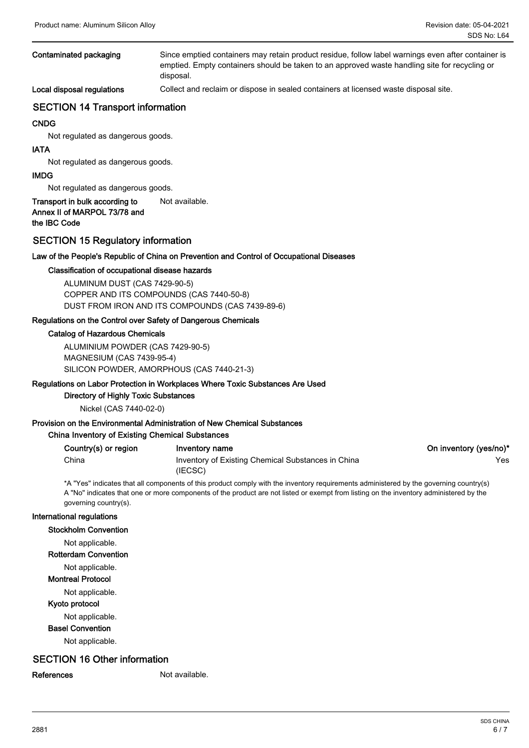| Contaminated packaging     | Since emptied containers may retain product residue, follow label warnings even after container is<br>emptied. Empty containers should be taken to an approved waste handling site for recycling or<br>disposal. |
|----------------------------|------------------------------------------------------------------------------------------------------------------------------------------------------------------------------------------------------------------|
| Local disposal regulations | Collect and reclaim or dispose in sealed containers at licensed waste disposal site.                                                                                                                             |

#### SECTION 14 Transport information

#### CNDG

Not regulated as dangerous goods.

#### IATA

Not regulated as dangerous goods.

#### IMDG

Not regulated as dangerous goods.

#### Transport in bulk according to Not available. Annex II of MARPOL 73/78 and the IBC Code

#### SECTION 15 Regulatory information

#### Law of the People's Republic of China on Prevention and Control of Occupational Diseases

#### Classification of occupational disease hazards

ALUMINUM DUST (CAS 7429-90-5) COPPER AND ITS COMPOUNDS (CAS 7440-50-8) DUST FROM IRON AND ITS COMPOUNDS (CAS 7439-89-6)

#### Regulations on the Control over Safety of Dangerous Chemicals

#### Catalog of Hazardous Chemicals

ALUMINIUM POWDER (CAS 7429-90-5) MAGNESIUM (CAS 7439-95-4) SILICON POWDER, AMORPHOUS (CAS 7440-21-3)

#### Regulations on Labor Protection in Workplaces Where Toxic Substances Are Used

#### Directory of Highly Toxic Substances

Nickel (CAS 7440-02-0)

### Provision on the Environmental Administration of New Chemical Substances

| <b>China Inventory of Existing Chemical Substances</b> |                                                    |                        |  |  |
|--------------------------------------------------------|----------------------------------------------------|------------------------|--|--|
| Country(s) or region                                   | Inventory name                                     | On inventory (yes/no)* |  |  |
| China                                                  | Inventory of Existing Chemical Substances in China | Yes                    |  |  |
|                                                        | (IECSC)                                            |                        |  |  |

\*A "Yes" indicates that all components of this product comply with the inventory requirements administered by the governing country(s) A "No" indicates that one or more components of the product are not listed or exempt from listing on the inventory administered by the governing country(s).

#### International regulations

Stockholm Convention

Not applicable.

Rotterdam Convention

Not applicable.

### Montreal Protocol

Not applicable.

#### Kyoto protocol

Not applicable.

#### Basel Convention

Not applicable.

### SECTION 16 Other information

References Not available.